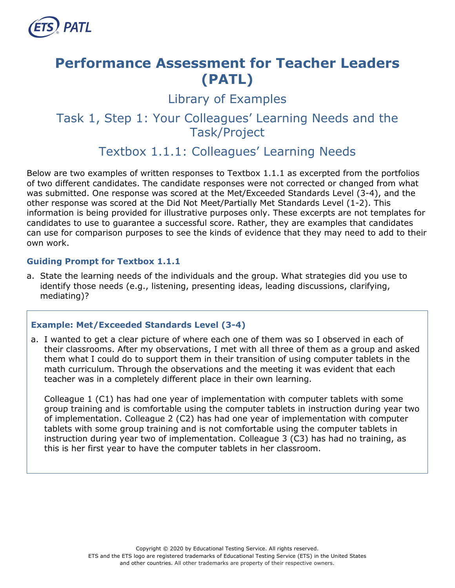

# **Performance Assessment for Teacher Leaders (PATL)**

Library of Examples

# Task 1, Step 1: Your Colleagues' Learning Needs and the Task/Project

# Textbox 1.1.1: Colleagues' Learning Needs

Below are two examples of written responses to Textbox 1.1.1 as excerpted from the portfolios of two different candidates. The candidate responses were not corrected or changed from what was submitted. One response was scored at the Met/Exceeded Standards Level (3-4), and the other response was scored at the Did Not Meet/Partially Met Standards Level (1-2). This information is being provided for illustrative purposes only. These excerpts are not templates for candidates to use to guarantee a successful score. Rather, they are examples that candidates can use for comparison purposes to see the kinds of evidence that they may need to add to their own work.

#### **Guiding Prompt for Textbox 1.1.1**

a. State the learning needs of the individuals and the group. What strategies did you use to identify those needs (e.g., listening, presenting ideas, leading discussions, clarifying, mediating)?

#### **Example: Met/Exceeded Standards Level (3-4)**

a. I wanted to get a clear picture of where each one of them was so I observed in each of their classrooms. After my observations, I met with all three of them as a group and asked them what I could do to support them in their transition of using computer tablets in the math curriculum. Through the observations and the meeting it was evident that each teacher was in a completely different place in their own learning.

Colleague 1 (C1) has had one year of implementation with computer tablets with some group training and is comfortable using the computer tablets in instruction during year two of implementation. Colleague 2 (C2) has had one year of implementation with computer tablets with some group training and is not comfortable using the computer tablets in instruction during year two of implementation. Colleague 3 (C3) has had no training, as this is her first year to have the computer tablets in her classroom.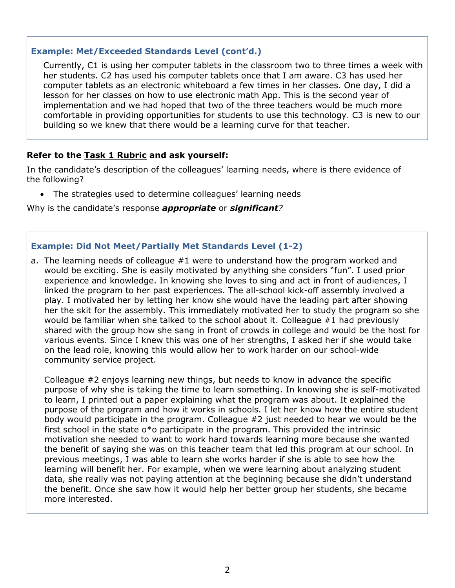#### **Example: Met/Exceeded Standards Level (cont'd.)**

Currently, C1 is using her computer tablets in the classroom two to three times a week with her students. C2 has used his computer tablets once that I am aware. C3 has used her computer tablets as an electronic whiteboard a few times in her classes. One day, I did a lesson for her classes on how to use electronic math App. This is the second year of implementation and we had hoped that two of the three teachers would be much more comfortable in providing opportunities for students to use this technology. C3 is new to our building so we knew that there would be a learning curve for that teacher.

## **Refer to the [Task 1 Rubric](http://gace.ets.org/s/pdf/gace_teacher_leadership_assessment_task_1_rubric.pdf) and ask yourself:**

In the candidate's description of the colleagues' learning needs, where is there evidence of the following?

• The strategies used to determine colleagues' learning needs

Why is the candidate's response *appropriate* or *significant?*

#### **Example: Did Not Meet/Partially Met Standards Level (1-2)**

a. The learning needs of colleague #1 were to understand how the program worked and would be exciting. She is easily motivated by anything she considers "fun". I used prior experience and knowledge. In knowing she loves to sing and act in front of audiences, I linked the program to her past experiences. The all-school kick-off assembly involved a play. I motivated her by letting her know she would have the leading part after showing her the skit for the assembly. This immediately motivated her to study the program so she would be familiar when she talked to the school about it. Colleague #1 had previously shared with the group how she sang in front of crowds in college and would be the host for various events. Since I knew this was one of her strengths, I asked her if she would take on the lead role, knowing this would allow her to work harder on our school-wide community service project.

Colleague #2 enjoys learning new things, but needs to know in advance the specific purpose of why she is taking the time to learn something. In knowing she is self-motivated to learn, I printed out a paper explaining what the program was about. It explained the purpose of the program and how it works in schools. I let her know how the entire student body would participate in the program. Colleague #2 just needed to hear we would be the first school in the state o\*o participate in the program. This provided the intrinsic motivation she needed to want to work hard towards learning more because she wanted the benefit of saying she was on this teacher team that led this program at our school. In previous meetings, I was able to learn she works harder if she is able to see how the learning will benefit her. For example, when we were learning about analyzing student data, she really was not paying attention at the beginning because she didn't understand the benefit. Once she saw how it would help her better group her students, she became more interested.